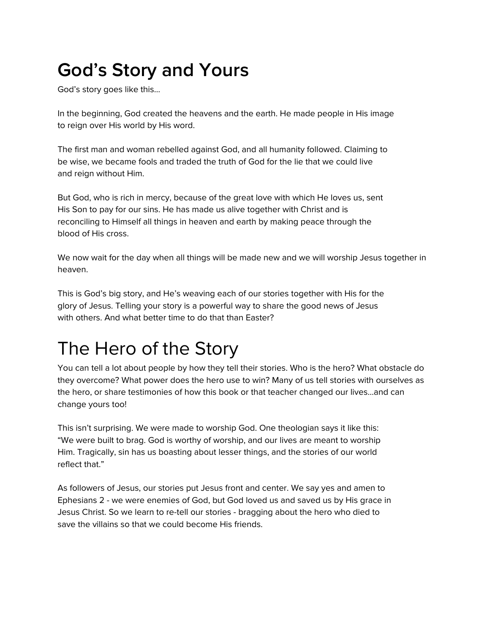# **God's Story and Yours**

God's story goes like this…

In the beginning, God created the heavens and the earth. He made people in His image to reign over His world by His word.

The first man and woman rebelled against God, and all humanity followed. Claiming to be wise, we became fools and traded the truth of God for the lie that we could live and reign without Him.

But God, who is rich in mercy, because of the great love with which He loves us, sent His Son to pay for our sins. He has made us alive together with Christ and is reconciling to Himself all things in heaven and earth by making peace through the blood of His cross.

We now wait for the day when all things will be made new and we will worship Jesus together in heaven.

This is God's big story, and He's weaving each of our stories together with His for the glory of Jesus. Telling your story is a powerful way to share the good news of Jesus with others. And what better time to do that than Easter?

## The Hero of the Story

You can tell a lot about people by how they tell their stories. Who is the hero? What obstacle do they overcome? What power does the hero use to win? Many of us tell stories with ourselves as the hero, or share testimonies of how this book or that teacher changed our lives…and can change yours too!

This isn't surprising. We were made to worship God. One theologian says it like this: "We were built to brag. God is worthy of worship, and our lives are meant to worship Him. Tragically, sin has us boasting about lesser things, and the stories of our world reflect that."

As followers of Jesus, our stories put Jesus front and center. We say yes and amen to Ephesians 2 - we were enemies of God, but God loved us and saved us by His grace in Jesus Christ. So we learn to re-tell our stories - bragging about the hero who died to save the villains so that we could become His friends.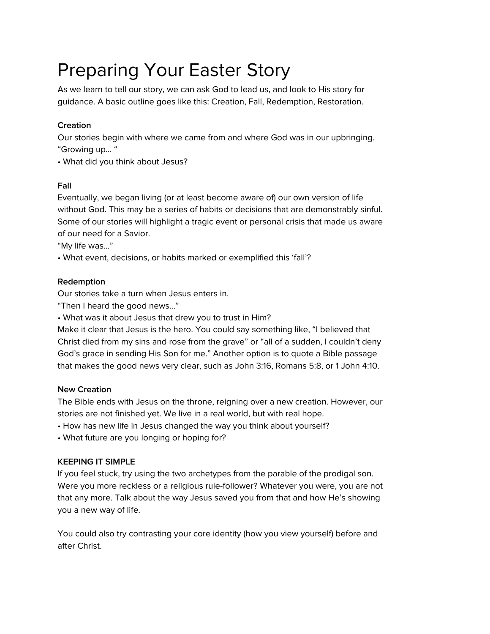## Preparing Your Easter Story

As we learn to tell our story, we can ask God to lead us, and look to His story for guidance. A basic outline goes like this: Creation, Fall, Redemption, Restoration.

## **Creation**

Our stories begin with where we came from and where God was in our upbringing. "Growing up… "

• What did you think about Jesus?

## **Fall**

Eventually, we began living (or at least become aware of) our own version of life without God. This may be a series of habits or decisions that are demonstrably sinful. Some of our stories will highlight a tragic event or personal crisis that made us aware of our need for a Savior.

"My life was…"

• What event, decisions, or habits marked or exemplified this 'fall'?

### **Redemption**

Our stories take a turn when Jesus enters in.

"Then I heard the good news…"

• What was it about Jesus that drew you to trust in Him?

Make it clear that Jesus is the hero. You could say something like, "I believed that Christ died from my sins and rose from the grave" or "all of a sudden, I couldn't deny God's grace in sending His Son for me." Another option is to quote a Bible passage that makes the good news very clear, such as John 3:16, Romans 5:8, or 1 John 4:10.

## **New Creation**

The Bible ends with Jesus on the throne, reigning over a new creation. However, our stories are not finished yet. We live in a real world, but with real hope.

- How has new life in Jesus changed the way you think about yourself?
- What future are you longing or hoping for?

## **KEEPING IT SIMPLE**

If you feel stuck, try using the two archetypes from the parable of the prodigal son. Were you more reckless or a religious rule-follower? Whatever you were, you are not that any more. Talk about the way Jesus saved you from that and how He's showing you a new way of life.

You could also try contrasting your core identity (how you view yourself) before and after Christ.